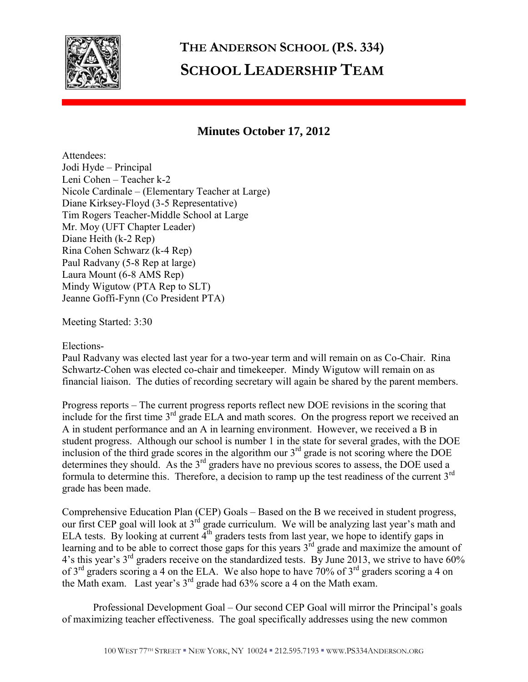

## **THE ANDERSON SCHOOL (P.S. 334) SCHOOL LEADERSHIP TEAM**

## **Minutes October 17, 2012**

Attendees: Jodi Hyde – Principal Leni Cohen – Teacher k-2 Nicole Cardinale – (Elementary Teacher at Large) Diane Kirksey-Floyd (3-5 Representative) Tim Rogers Teacher-Middle School at Large Mr. Moy (UFT Chapter Leader) Diane Heith (k-2 Rep) Rina Cohen Schwarz (k-4 Rep) Paul Radvany (5-8 Rep at large) Laura Mount (6-8 AMS Rep) Mindy Wigutow (PTA Rep to SLT) Jeanne Goffi-Fynn (Co President PTA)

Meeting Started: 3:30

## Elections-

Paul Radvany was elected last year for a two-year term and will remain on as Co-Chair. Rina Schwartz-Cohen was elected co-chair and timekeeper. Mindy Wigutow will remain on as financial liaison. The duties of recording secretary will again be shared by the parent members.

Progress reports – The current progress reports reflect new DOE revisions in the scoring that include for the first time 3<sup>rd</sup> grade ELA and math scores. On the progress report we received an A in student performance and an A in learning environment. However, we received a B in student progress. Although our school is number 1 in the state for several grades, with the DOE inclusion of the third grade scores in the algorithm our 3rd grade is not scoring where the DOE determines they should. As the  $3<sup>rd</sup>$  graders have no previous scores to assess, the DOE used a formula to determine this. Therefore, a decision to ramp up the test readiness of the current  $3<sup>rd</sup>$ grade has been made.

Comprehensive Education Plan (CEP) Goals – Based on the B we received in student progress, our first CEP goal will look at  $3<sup>rd</sup>$  grade curriculum. We will be analyzing last year's math and ELA tests. By looking at current  $\tilde{4}^{th}$  graders tests from last year, we hope to identify gaps in learning and to be able to correct those gaps for this years  $3<sup>rd</sup>$  grade and maximize the amount of 4's this year's 3<sup>rd</sup> graders receive on the standardized tests. By June 2013, we strive to have 60% of  $3<sup>rd</sup>$  graders scoring a 4 on the ELA. We also hope to have 70% of  $3<sup>rd</sup>$  graders scoring a 4 on the Math exam. Last year's 3rd grade had 63% score a 4 on the Math exam.

 Professional Development Goal – Our second CEP Goal will mirror the Principal's goals of maximizing teacher effectiveness. The goal specifically addresses using the new common